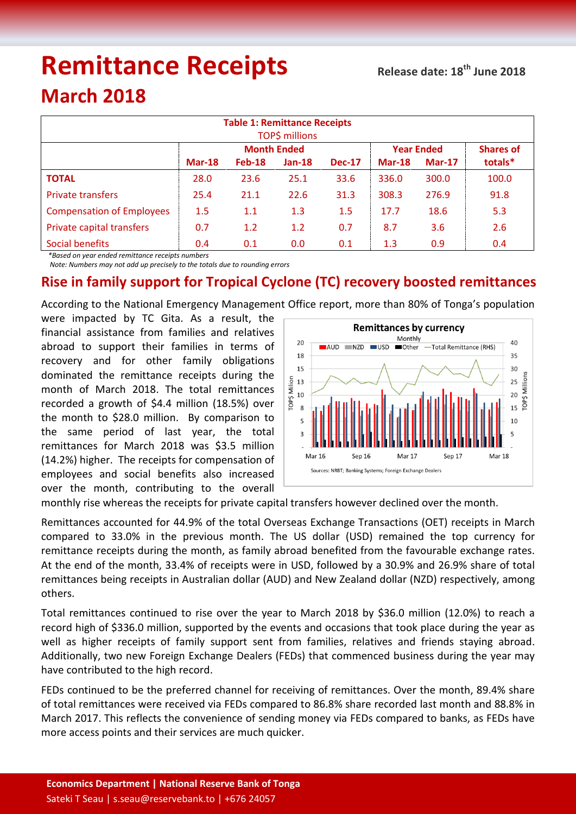# **Remittance Receipts**

## **March 2018**

| <b>Table 1: Remittance Receipts</b><br><b>TOP\$ millions</b> |                    |          |          |               |                   |          |                  |  |  |  |
|--------------------------------------------------------------|--------------------|----------|----------|---------------|-------------------|----------|------------------|--|--|--|
|                                                              | <b>Month Ended</b> |          |          |               | <b>Year Ended</b> |          | <b>Shares of</b> |  |  |  |
|                                                              | $Mar-18$           | $Feb-18$ | $Jan-18$ | <b>Dec-17</b> | $Mar-18$          | $Mar-17$ | totals*          |  |  |  |
| <b>TOTAL</b>                                                 | 28.0               | 23.6     | 25.1     | 33.6          | 336.0             | 300.0    | 100.0            |  |  |  |
| <b>Private transfers</b>                                     | 25.4               | 21.1     | 22.6     | 31.3          | 308.3             | 276.9    | 91.8             |  |  |  |
| <b>Compensation of Employees</b>                             | 1.5                | 1.1      | 1.3      | 1.5           | 17.7              | 18.6     | 5.3              |  |  |  |
| Private capital transfers                                    | 0.7                | 1.2      | 1.2      | 0.7           | 8.7               | 3.6      | 2.6              |  |  |  |
| Social benefits                                              | 0.4                | 0.1      | 0.0      | 0.1           | 1.3               | 0.9      | 0.4              |  |  |  |

 *\*Based on year ended remittance receipts numbers*

 *Note: Numbers may not add up precisely to the totals due to rounding errors*

### **Rise in family support for Tropical Cyclone (TC) recovery boosted remittances**

According to the National Emergency Management Office report, more than 80% of Tonga's population

were impacted by TC Gita. As a result, the financial assistance from families and relatives abroad to support their families in terms of recovery and for other family obligations dominated the remittance receipts during the month of March 2018. The total remittances recorded a growth of \$4.4 million (18.5%) over the month to \$28.0 million. By comparison to the same period of last year, the total remittances for March 2018 was \$3.5 million (14.2%) higher. The receipts for compensation of employees and social benefits also increased over the month, contributing to the overall



monthly rise whereas the receipts for private capital transfers however declined over the month.

Remittances accounted for 44.9% of the total Overseas Exchange Transactions (OET) receipts in March compared to 33.0% in the previous month. The US dollar (USD) remained the top currency for remittance receipts during the month, as family abroad benefited from the favourable exchange rates. At the end of the month, 33.4% of receipts were in USD, followed by a 30.9% and 26.9% share of total remittances being receipts in Australian dollar (AUD) and New Zealand dollar (NZD) respectively, among others.

Total remittances continued to rise over the year to March 2018 by \$36.0 million (12.0%) to reach a record high of \$336.0 million, supported by the events and occasions that took place during the year as well as higher receipts of family support sent from families, relatives and friends staying abroad. Additionally, two new Foreign Exchange Dealers (FEDs) that commenced business during the year may have contributed to the high record.

FEDs continued to be the preferred channel for receiving of remittances. Over the month, 89.4% share of total remittances were received via FEDs compared to 86.8% share recorded last month and 88.8% in March 2017. This reflects the convenience of sending money via FEDs compared to banks, as FEDs have more access points and their services are much quicker.